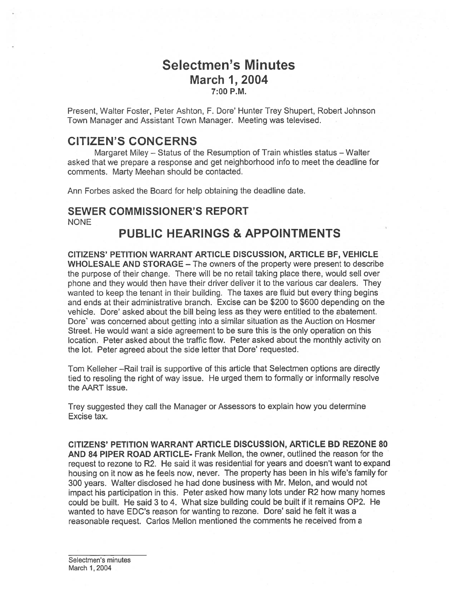# Selectmen's Minutes **March 1, 2004** 7:00 P.M.

Present, Walter Foster, Peter Ashton, F. Dore' Hunter Trey Shupert, Robert Johnson Town Manager and Assistant Town Manager. Meeting was televised.

# CITIZEN'S CONCERNS

Margaret Miley — Status of the Resumption of Train whistles status — Walter asked that we prepare <sup>a</sup> response and ge<sup>t</sup> neighborhood info to meet the deadline for comments. Marty Meehan should be contacted.

Ann Forbes asked the Board for help obtaining the deadline date.

## SEWER COMMISSIONER'S REPORT NONE

# PUBLIC HEARINGS & APPOINTMENTS

CITIZENS' PETITION WARRANT ARTICLE DISCUSSION, ARTICLE BE, VEHICLE WHOLESALE AND STORAGE — The owners of the property were presen<sup>t</sup> to describe the purpose of their change. There will be no retail taking place there, would sell over phone and they would then have their driver deliver it to the various car dealers. They wanted to keep the tenant in their building. The taxes are fluid but every thing begins and ends at their administrative branch. Excise can be \$200 to \$600 depending on the vehicle. Dore' asked about the bill being less as they were entitled to the abatement. Dore' was concerned about getting into <sup>a</sup> similar situation as the Auction on Hosmer Street. He would want <sup>a</sup> side agreemen<sup>t</sup> to be sure this is the only operation on this location. Peter asked about the traffic flow. Peter asked about the monthly activity on the lot. Peter agreed about the side letter that Dore' requested.

Tom Kelleher —Rail trail is supportive of this article that Selectmen options are directly tied to resoling the right of way issue. He urged them to formally or informally resolve the AART issue.

Trey suggested they call the Manager or Assessors to explain how you determine Excise tax.

CITIZENS' PETITION WARRANT ARTICLE DISCUSSION, ARTICLE BD REZONE 80 AND 84 PIPER ROAD ARTICLE- Frank Mellon, the owner, outlined the reason for the reques<sup>t</sup> to rezone to R2. He said it was residential for years and doesn't want to expand housing on it now as he feels now, never. The property has been in his wife's family for 300 years. Walter disclosed he had done business with Mr. Melon, and would not impact his participation in this. Peter asked how many lots under R2 how many homes could be built. He said 3 to 4. What size building could be built if it remains 0P2. He wanted to have EDC's reason for wanting to rezone. Dore' said he felt it was a reasonable request. Carlos Mellon mentioned the comments he received from <sup>a</sup>

Selectmen's minutes March 1, 2004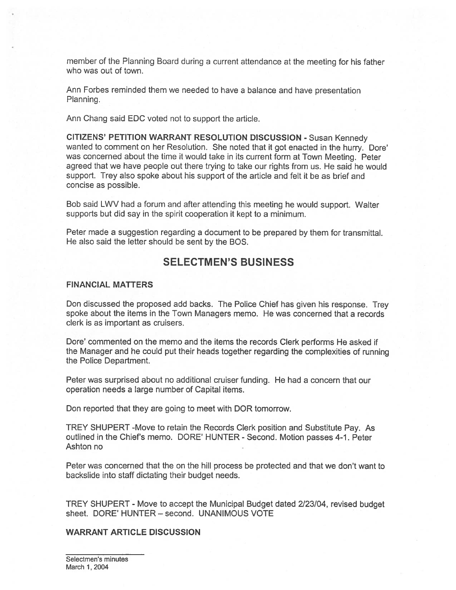member of the Planning Board during <sup>a</sup> current attendance at the meeting for his father who was out of town.

Ann Forbes reminded them we needed to have <sup>a</sup> balance and have presentation Planning.

Ann Chang said EDO voted not to suppor<sup>t</sup> the article.

CITIZENS' PETITION WARRANT RESOLUTION DISCUSSION - Susan Kennedy wanted to comment on her Resolution. She noted that it go<sup>t</sup> enacted in the hurry. Dore' was concerned about the time it would take in its current form at Town Meeting. Peter agreed that we have people out there trying to take our rights from us. He said he would support. Trey also spoke about his suppor<sup>t</sup> of the article and felt it be as brief and concise as possible.

Bob said LWV had <sup>a</sup> forum and after attending this meeting he would support. Walter supports but did say in the spirit cooperation it kept to <sup>a</sup> minimum.

Peter made <sup>a</sup> suggestion regarding <sup>a</sup> document to be prepared by them for transmittal. He also said the letter should be sent by the BOS.

### SELECTMEN'S BUSINESS

### FINANCIAL MATTERS

Don discussed the propose<sup>d</sup> add backs. The Police Chief has <sup>g</sup>iven his response. Trey spoke about the items in the Town Managers memo. He was concerned that <sup>a</sup> records clerk is as important as cruisers.

Dore' commented on the memo and the items the records Clerk performs He asked if the Manager and he could pu<sup>t</sup> their heads together regarding the complexities of running the Police Department.

Peter was surprised about no additional cruiser funding. He had <sup>a</sup> concern that our operation needs <sup>a</sup> large number of Capital items.

Don reported that they are going to meet with DOR tomorrow.

TREY SHUPERT -Move to retain the Records Clerk position and Substitute Pay. As outlined in the Chief's memo. DORE' HUNTER - Second. Motion passes 4-1. Peter Ashton no

Peter was concerned that the on the hill process be protected and that we don't want to backslide into staff dictating their budget needs.

TREY SHUPERT - Move to accep<sup>t</sup> the Municipal Budget dated 2/23/04, revised budget sheet. DORE' HUNTER — second. UNANIMOUS VOTE

### WARRANT ARTICLE DISCUSSION

Selectmen's minutes March 1, 2004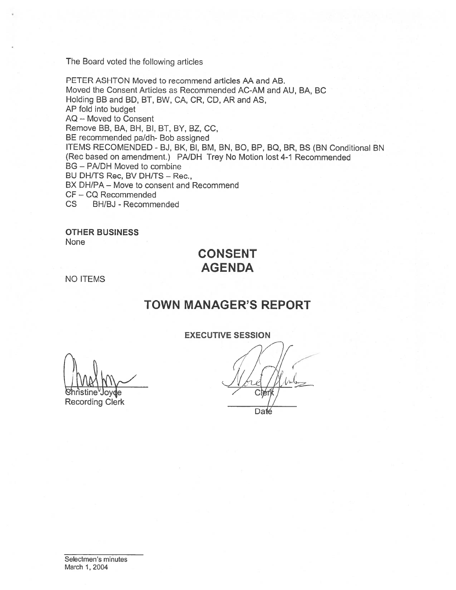The Board voted the following articles

PETER ASHTON Moved to recommend articles AA and AB. Moved the Consent Articles as Recommended AC-AM and AU, BA, BC Holding BB and BD, BT, BW, CA, CR, CD, AR and AS, AP fold into budget AQ — Moved to Consent Remove BB, BA, BH, BI, BT, BY, BZ, CC, BE recommended pa/dh- Bob assigned ITEMS RECOMENDED - BJ, BK, BI, BM, BN, BO, BP, BQ, BR, BS (BN Conditional BN (Rec based on amendment.) PA/DH Trey No Motion lost 4-1 Recommended BG — PNDH Moved to combine BU DH/TS Rec, BV DH/TS - Rec., BX DH/PA – Move to consent and Recommend CF -CQ Recommended CS BH/BJ -Recommended

OTHER BUSINESS None

# CONSENT AGENDA

NO ITEMS

# TOWN MANAGER'S REPORT

EXECUTIVE SESSION

Christine'Joyde<br>Recording Clerk

Daté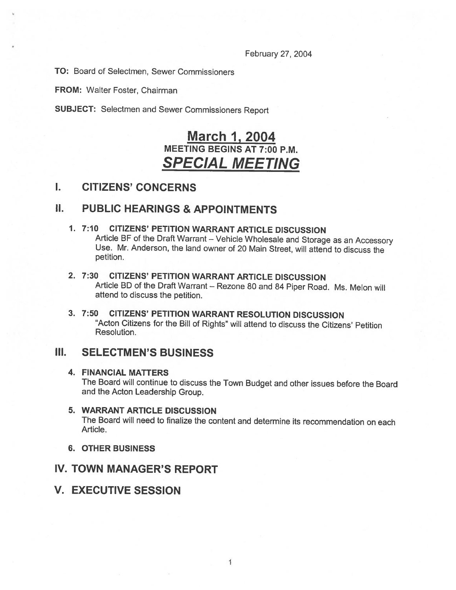February 27, 2004

TO: Board of Selectmen, Sewer Commissioners

FROM: Walter Foster, Chairman

SUBJECT: Selectmen and Sewer Commissioners Report

# <u>March 1, 2004</u> MEETING BEGINS AT 7:00 P.M. SPECIAL MEETING

### I. CITIZENS' CONCERNS

# **II. PUBLIC HEARINGS & APPOINTMENTS**

- 1. 7:10 CITIZENS' PETITION WARRANT ARTICLE DISCUSSION<br>Article BF of the Draft Warrant Vehicle Wholesale and Storage as an Accessory Use. Mr. Anderson, the land owner of 20 Main Street, will attend to discuss the petition.
- 2. 7:30 CITIZENS' PETITION WARRANT ARTICLE DISCUSSION Article BD of the Draft Warrant — Rezone <sup>80</sup> and <sup>84</sup> Piper Road. Ms. Melon will attend to discuss the petition.
- 3. 7:50 CITIZENS' PETITION WARRANT RESOLUTION DISCUSSION "Acton Citizens for the Bill of Rights" will attend to discuss the Citizens' Petition Resolution.

## III. SELECTMEN'S BUSINESS

### 4. FINANCIAL MATTERS

The Board will continue to discuss the Town Budget and other issues before the Board and the Acton Leadership Group.

- 5. WARRANT ARTICLE DISCUSSION The Board will need to finalize the content and determine its recommendation on each Article.
- 6. OTHER BUSINESS

## IV. TOWN MANAGER'S REPORT

## V. EXECUTIVE SESSION